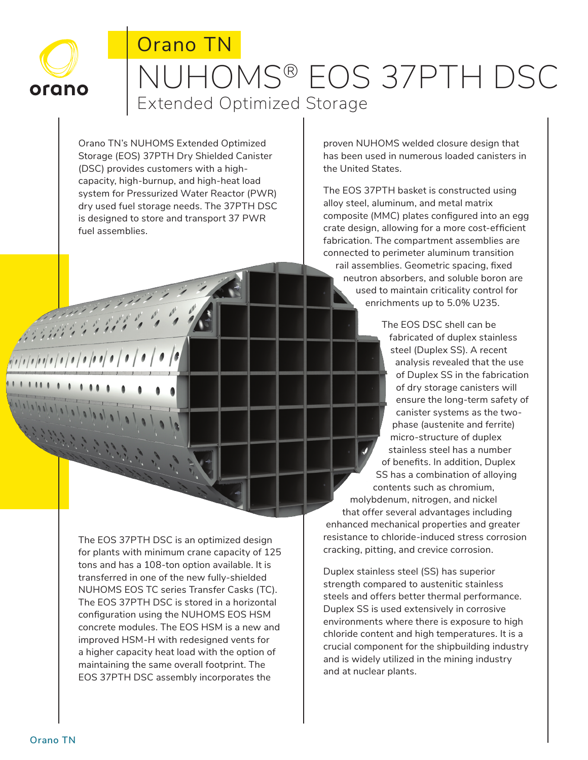

**André de la Carde** 

Maria Maria

# Orano TN NUHOMS® EOS 37PTH DSC Extended Optimized Storage

Orano TN's NUHOMS Extended Optimized Storage (EOS) 37PTH Dry Shielded Canister (DSC) provides customers with a highcapacity, high-burnup, and high-heat load system for Pressurized Water Reactor (PWR) dry used fuel storage needs. The 37PTH DSC is designed to store and transport 37 PWR fuel assemblies.

proven NUHOMS welded closure design that has been used in numerous loaded canisters in the United States.

The EOS 37PTH basket is constructed using alloy steel, aluminum, and metal matrix composite (MMC) plates configured into an egg crate design, allowing for a more cost-efficient fabrication. The compartment assemblies are connected to perimeter aluminum transition rail assemblies. Geometric spacing, fixed neutron absorbers, and soluble boron are used to maintain criticality control for enrichments up to 5.0% U235.

The EOS DSC shell can be fabricated of duplex stainless steel (Duplex SS). A recent analysis revealed that the use of Duplex SS in the fabrication of dry storage canisters will ensure the long-term safety of canister systems as the twophase (austenite and ferrite) micro-structure of duplex stainless steel has a number of benefits. In addition, Duplex SS has a combination of alloying contents such as chromium, molybdenum, nitrogen, and nickel that offer several advantages including enhanced mechanical properties and greater resistance to chloride-induced stress corrosion cracking, pitting, and crevice corrosion.

Duplex stainless steel (SS) has superior strength compared to austenitic stainless steels and offers better thermal performance. Duplex SS is used extensively in corrosive environments where there is exposure to high chloride content and high temperatures. It is a crucial component for the shipbuilding industry and is widely utilized in the mining industry and at nuclear plants.

The EOS 37PTH DSC is an optimized design for plants with minimum crane capacity of 125 tons and has a 108-ton option available. It is transferred in one of the new fully-shielded NUHOMS EOS TC series Transfer Casks (TC). The EOS 37PTH DSC is stored in a horizontal configuration using the NUHOMS EOS HSM concrete modules. The EOS HSM is a new and improved HSM-H with redesigned vents for a higher capacity heat load with the option of maintaining the same overall footprint. The EOS 37PTH DSC assembly incorporates the